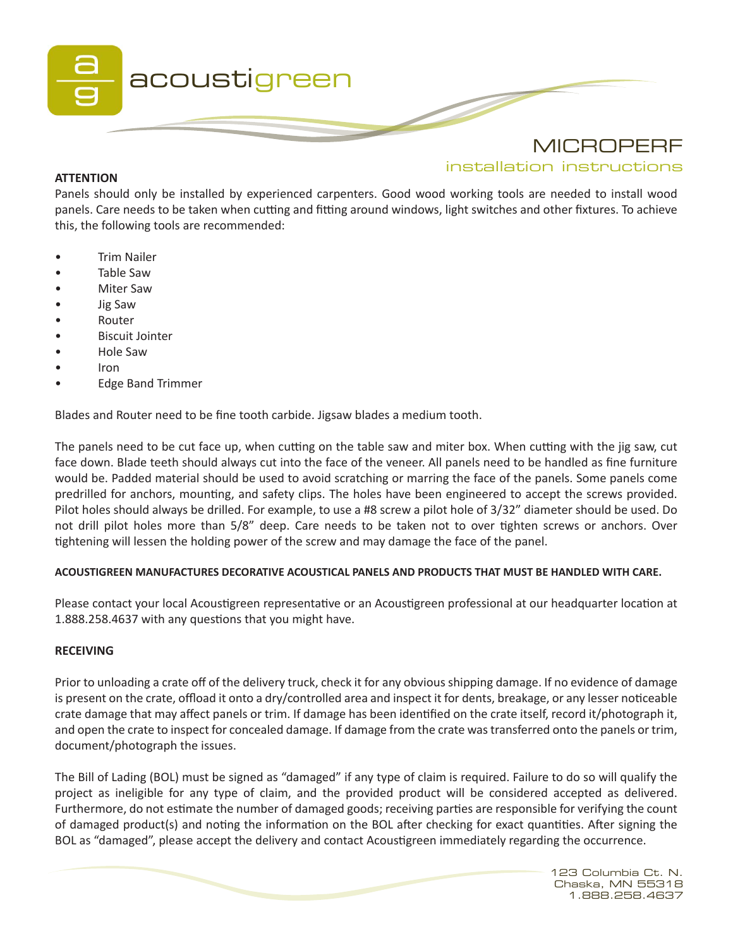

# **ATTENTION**

installation instructions

Panels should only be installed by experienced carpenters. Good wood working tools are needed to install wood panels. Care needs to be taken when cutting and fitting around windows, light switches and other fixtures. To achieve this, the following tools are recommended:

- Trim Nailer
- Table Saw
- Miter Saw
- Jig Saw
- **Router**
- Biscuit Jointer
- Hole Saw
- Iron
- Edge Band Trimmer

Blades and Router need to be fine tooth carbide. Jigsaw blades a medium tooth.

The panels need to be cut face up, when cutting on the table saw and miter box. When cutting with the jig saw, cut face down. Blade teeth should always cut into the face of the veneer. All panels need to be handled as fine furniture would be. Padded material should be used to avoid scratching or marring the face of the panels. Some panels come predrilled for anchors, mounting, and safety clips. The holes have been engineered to accept the screws provided. Pilot holes should always be drilled. For example, to use a #8 screw a pilot hole of 3/32" diameter should be used. Do not drill pilot holes more than 5/8" deep. Care needs to be taken not to over tighten screws or anchors. Over tightening will lessen the holding power of the screw and may damage the face of the panel.

## **ACOUSTIGREEN MANUFACTURES DECORATIVE ACOUSTICAL PANELS AND PRODUCTS THAT MUST BE HANDLED WITH CARE.**

Please contact your local Acoustigreen representative or an Acoustigreen professional at our headquarter location at 1.888.258.4637 with any questions that you might have.

## **RECEIVING**

Prior to unloading a crate off of the delivery truck, check it for any obvious shipping damage. If no evidence of damage is present on the crate, offload it onto a dry/controlled area and inspect it for dents, breakage, or any lesser noticeable crate damage that may affect panels or trim. If damage has been identified on the crate itself, record it/photograph it, and open the crate to inspect for concealed damage. If damage from the crate was transferred onto the panels or trim, document/photograph the issues.

The Bill of Lading (BOL) must be signed as "damaged" if any type of claim is required. Failure to do so will qualify the project as ineligible for any type of claim, and the provided product will be considered accepted as delivered. Furthermore, do not estimate the number of damaged goods; receiving parties are responsible for verifying the count of damaged product(s) and noting the information on the BOL after checking for exact quantities. After signing the BOL as "damaged", please accept the delivery and contact Acoustigreen immediately regarding the occurrence.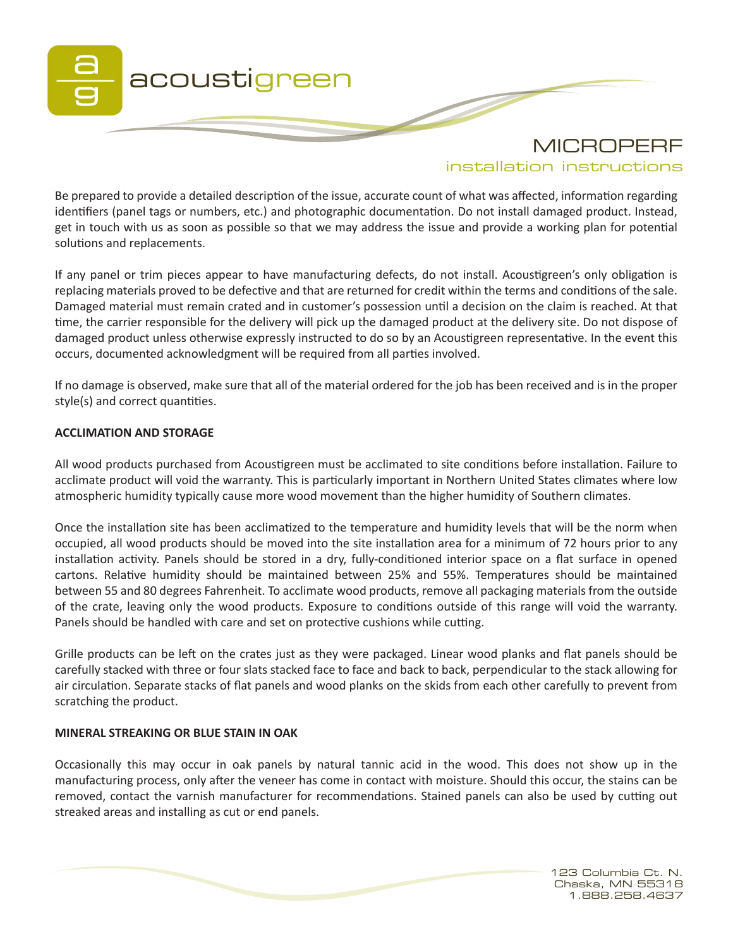

installation instructions

Be prepared to provide a detailed description of the issue, accurate count of what was affected, information regarding identifiers (panel tags or numbers, etc.) and photographic documentation. Do not install damaged product. Instead, get in touch with us as soon as possible so that we may address the issue and provide a working plan for potential solutions and replacements.

If any panel or trim pieces appear to have manufacturing defects, do not install. Acoustigreen's only obligation is replacing materials proved to be defective and that are returned for credit within the terms and conditions of the sale. Damaged material must remain crated and in customer's possession until a decision on the claim is reached. At that time, the carrier responsible for the delivery will pick up the damaged product at the delivery site. Do not dispose of damaged product unless otherwise expressly instructed to do so by an Acoustigreen representative. In the event this occurs, documented acknowledgment will be required from all parties involved.

If no damage is observed, make sure that all of the material ordered for the job has been received and is in the proper style(s) and correct quantities.

## **ACCLIMATION AND STORAGE**

All wood products purchased from Acoustigreen must be acclimated to site conditions before installation. Failure to acclimate product will void the warranty. This is particularly important in Northern United States climates where low atmospheric humidity typically cause more wood movement than the higher humidity of Southern climates.

Once the installation site has been acclimatized to the temperature and humidity levels that will be the norm when occupied, all wood products should be moved into the site installation area for a minimum of 72 hours prior to any installation activity. Panels should be stored in a dry, fully-conditioned interior space on a flat surface in opened cartons. Relative humidity should be maintained between 25% and 55%. Temperatures should be maintained between 55 and 80 degrees Fahrenheit. To acclimate wood products, remove all packaging materials from the outside of the crate, leaving only the wood products. Exposure to conditions outside of this range will void the warranty. Panels should be handled with care and set on protective cushions while cutting.

Grille products can be left on the crates just as they were packaged. Linear wood planks and flat panels should be carefully stacked with three or four slats stacked face to face and back to back, perpendicular to the stack allowing for air circulation. Separate stacks of flat panels and wood planks on the skids from each other carefully to prevent from scratching the product.

### **MINERAL STREAKING OR BLUE STAIN IN OAK**

Occasionally this may occur in oak panels by natural tannic acid in the wood. This does not show up in the manufacturing process, only after the veneer has come in contact with moisture. Should this occur, the stains can be removed, contact the varnish manufacturer for recommendations. Stained panels can also be used by cutting out streaked areas and installing as cut or end panels.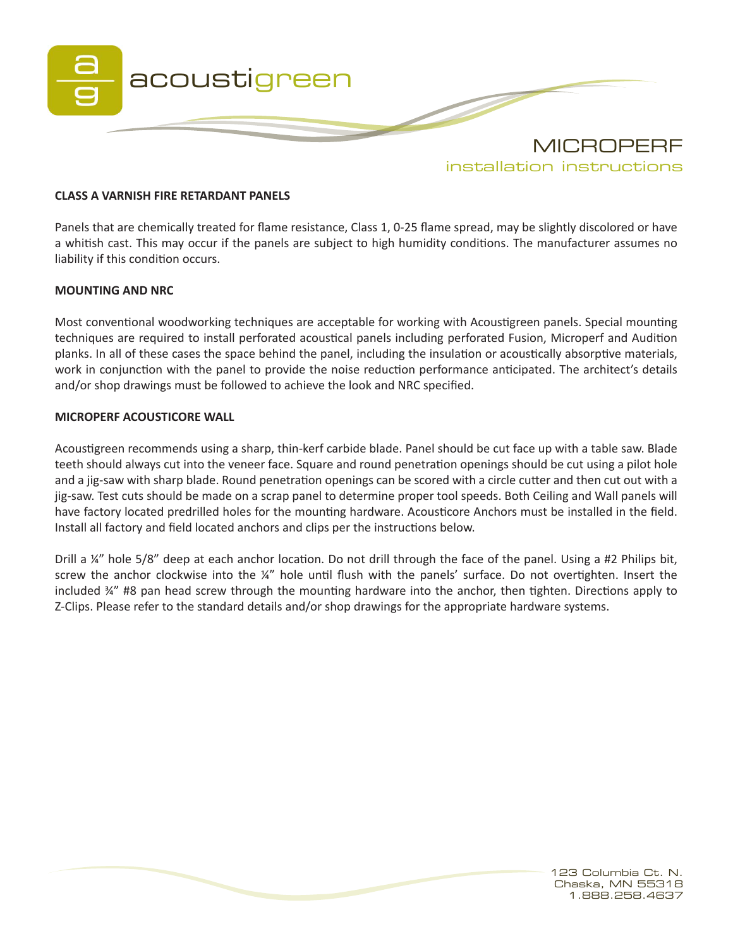

### **CLASS A VARNISH FIRE RETARDANT PANELS**

Panels that are chemically treated for flame resistance, Class 1, 0-25 flame spread, may be slightly discolored or have a whitish cast. This may occur if the panels are subject to high humidity conditions. The manufacturer assumes no liability if this condition occurs.

#### **MOUNTING AND NRC**

Most conventional woodworking techniques are acceptable for working with Acoustigreen panels. Special mounting techniques are required to install perforated acoustical panels including perforated Fusion, Microperf and Audition planks. In all of these cases the space behind the panel, including the insulation or acoustically absorptive materials, work in conjunction with the panel to provide the noise reduction performance anticipated. The architect's details and/or shop drawings must be followed to achieve the look and NRC specified.

### **MICROPERF ACOUSTICORE WALL**

Acoustigreen recommends using a sharp, thin-kerf carbide blade. Panel should be cut face up with a table saw. Blade teeth should always cut into the veneer face. Square and round penetration openings should be cut using a pilot hole and a jig-saw with sharp blade. Round penetration openings can be scored with a circle cutter and then cut out with a jig-saw. Test cuts should be made on a scrap panel to determine proper tool speeds. Both Ceiling and Wall panels will have factory located predrilled holes for the mounting hardware. Acousticore Anchors must be installed in the field. Install all factory and field located anchors and clips per the instructions below.

Drill a ¼" hole 5/8" deep at each anchor location. Do not drill through the face of the panel. Using a #2 Philips bit, screw the anchor clockwise into the ¼" hole until flush with the panels' surface. Do not overtighten. Insert the included ¾" #8 pan head screw through the mounting hardware into the anchor, then tighten. Directions apply to Z-Clips. Please refer to the standard details and/or shop drawings for the appropriate hardware systems.

> 123 Columbia Ct. N. Chaska, MN 55318 1.888.258.4637